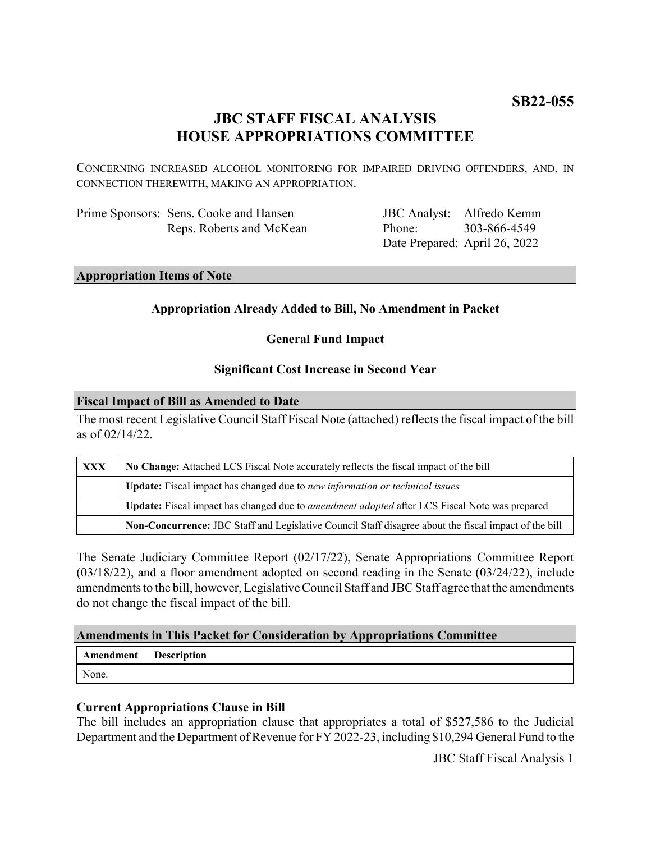# **JBC STAFF FISCAL ANALYSIS HOUSE APPROPRIATIONS COMMITTEE**

CONCERNING INCREASED ALCOHOL MONITORING FOR IMPAIRED DRIVING OFFENDERS, AND, IN CONNECTION THEREWITH, MAKING AN APPROPRIATION.

| Prime Sponsors: Sens. Cooke and Hansen |
|----------------------------------------|
| Reps. Roberts and McKean               |

JBC Analyst: Alfredo Kemm Phone: Date Prepared: April 26, 2022 303-866-4549

#### **Appropriation Items of Note**

## **Appropriation Already Added to Bill, No Amendment in Packet**

**General Fund Impact**

### **Significant Cost Increase in Second Year**

#### **Fiscal Impact of Bill as Amended to Date**

The most recent Legislative Council Staff Fiscal Note (attached) reflects the fiscal impact of the bill as of 02/14/22.

| <b>XXX</b> | No Change: Attached LCS Fiscal Note accurately reflects the fiscal impact of the bill                 |  |
|------------|-------------------------------------------------------------------------------------------------------|--|
|            | Update: Fiscal impact has changed due to new information or technical issues                          |  |
|            | Update: Fiscal impact has changed due to <i>amendment adopted</i> after LCS Fiscal Note was prepared  |  |
|            | Non-Concurrence: JBC Staff and Legislative Council Staff disagree about the fiscal impact of the bill |  |

The Senate Judiciary Committee Report (02/17/22), Senate Appropriations Committee Report (03/18/22), and a floor amendment adopted on second reading in the Senate (03/24/22), include amendments to the bill, however, Legislative Council Staff and JBC Staff agree that the amendments do not change the fiscal impact of the bill.

### **Amendments in This Packet for Consideration by Appropriations Committee**

| Amendment | <b>Description</b> |
|-----------|--------------------|
| None.     |                    |

# **Current Appropriations Clause in Bill**

The bill includes an appropriation clause that appropriates a total of \$527,586 to the Judicial Department and the Department of Revenue for FY 2022-23, including \$10,294 General Fund to the